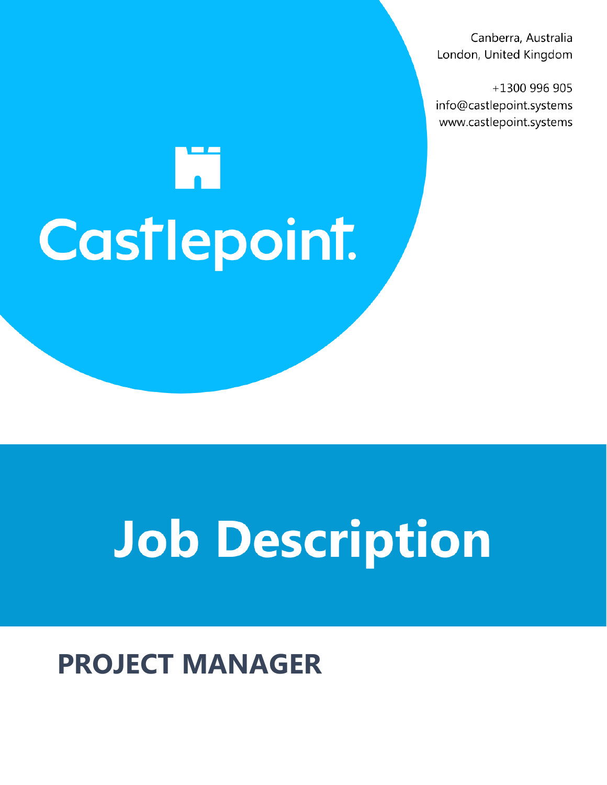Canberra, Australia London, United Kingdom

+1300 996 905 info@castlepoint.systems www.castlepoint.systems

# M Castlepoint.

## **Job Description**

### **PROJECT MANAGER**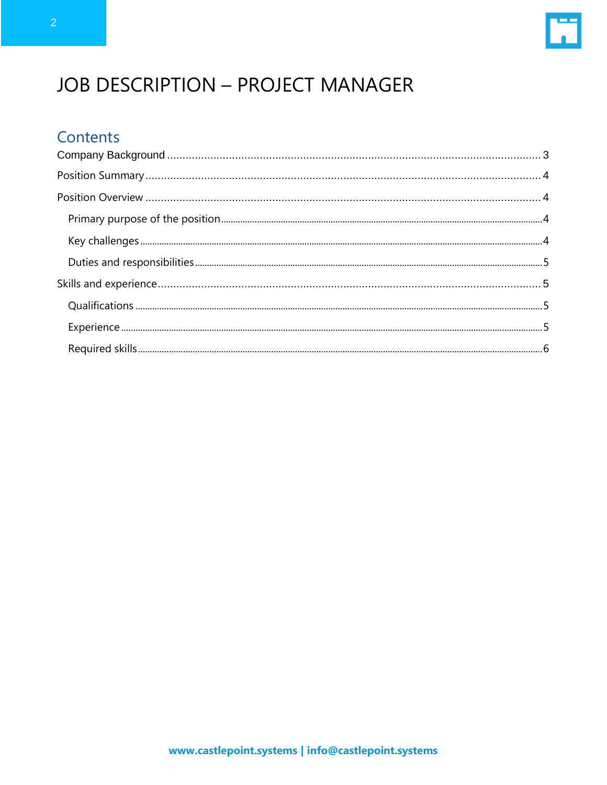

#### **JOB DESCRIPTION - PROJECT MANAGER**

#### Contents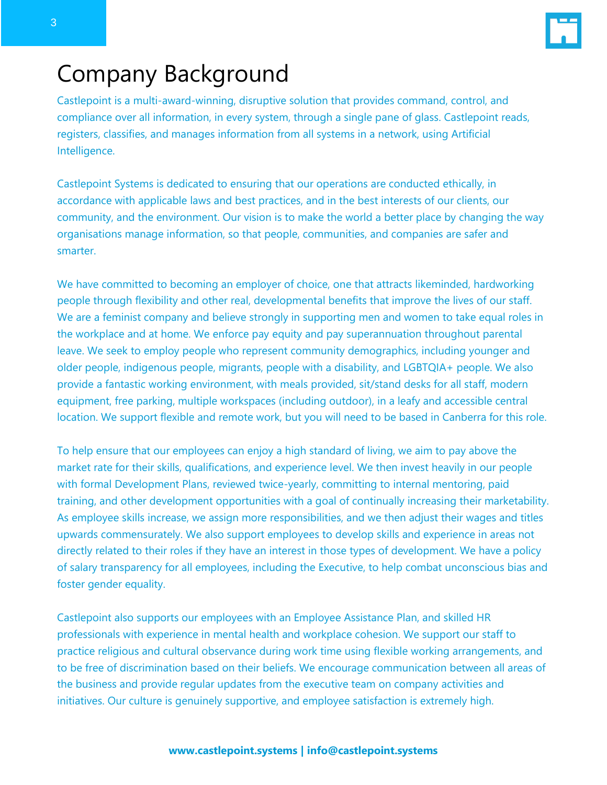

#### <span id="page-2-0"></span>Company Background

Castlepoint is a multi-award-winning, disruptive solution that provides command, control, and compliance over all information, in every system, through a single pane of glass. Castlepoint reads, registers, classifies, and manages information from all systems in a network, using Artificial Intelligence.

Castlepoint Systems is dedicated to ensuring that our operations are conducted ethically, in accordance with applicable laws and best practices, and in the best interests of our clients, our community, and the environment. Our vision is to make the world a better place by changing the way organisations manage information, so that people, communities, and companies are safer and smarter.

We have committed to becoming an employer of choice, one that attracts likeminded, hardworking people through flexibility and other real, developmental benefits that improve the lives of our staff. We are a feminist company and believe strongly in supporting men and women to take equal roles in the workplace and at home. We enforce pay equity and pay superannuation throughout parental leave. We seek to employ people who represent community demographics, including younger and older people, indigenous people, migrants, people with a disability, and LGBTQIA+ people. We also provide a fantastic working environment, with meals provided, sit/stand desks for all staff, modern equipment, free parking, multiple workspaces (including outdoor), in a leafy and accessible central location. We support flexible and remote work, but you will need to be based in Canberra for this role.

To help ensure that our employees can enjoy a high standard of living, we aim to pay above the market rate for their skills, qualifications, and experience level. We then invest heavily in our people with formal Development Plans, reviewed twice-yearly, committing to internal mentoring, paid training, and other development opportunities with a goal of continually increasing their marketability. As employee skills increase, we assign more responsibilities, and we then adjust their wages and titles upwards commensurately. We also support employees to develop skills and experience in areas not directly related to their roles if they have an interest in those types of development. We have a policy of salary transparency for all employees, including the Executive, to help combat unconscious bias and foster gender equality.

Castlepoint also supports our employees with an Employee Assistance Plan, and skilled HR professionals with experience in mental health and workplace cohesion. We support our staff to practice religious and cultural observance during work time using flexible working arrangements, and to be free of discrimination based on their beliefs. We encourage communication between all areas of the business and provide regular updates from the executive team on company activities and initiatives. Our culture is genuinely supportive, and employee satisfaction is extremely high.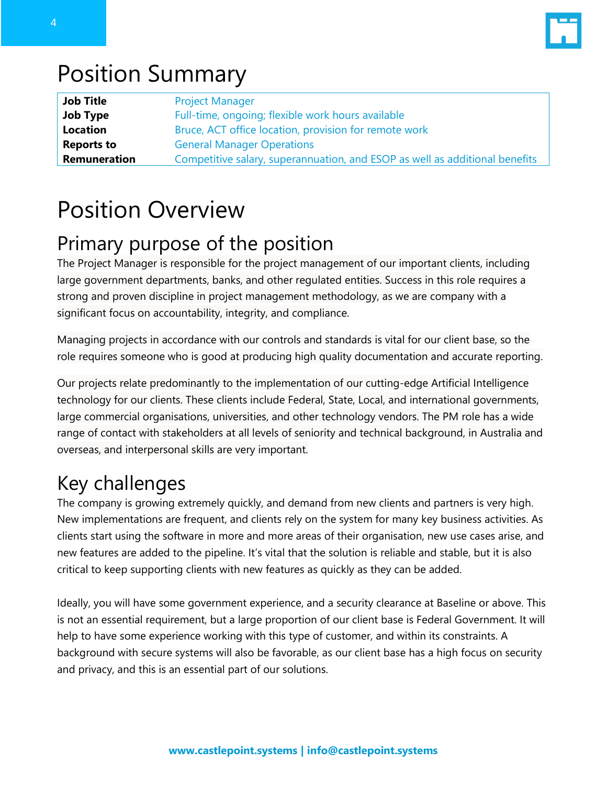

#### <span id="page-3-0"></span>Position Summary

| <b>Job Title</b>  | <b>Project Manager</b>                                                      |
|-------------------|-----------------------------------------------------------------------------|
| Job Type          | Full-time, ongoing; flexible work hours available                           |
| Location          | Bruce, ACT office location, provision for remote work                       |
| <b>Reports to</b> | <b>General Manager Operations</b>                                           |
| Remuneration      | Competitive salary, superannuation, and ESOP as well as additional benefits |

#### <span id="page-3-1"></span>Position Overview

#### <span id="page-3-2"></span>Primary purpose of the position

The Project Manager is responsible for the project management of our important clients, including large government departments, banks, and other regulated entities. Success in this role requires a strong and proven discipline in project management methodology, as we are company with a significant focus on accountability, integrity, and compliance.

Managing projects in accordance with our controls and standards is vital for our client base, so the role requires someone who is good at producing high quality documentation and accurate reporting.

Our projects relate predominantly to the implementation of our cutting-edge Artificial Intelligence technology for our clients. These clients include Federal, State, Local, and international governments, large commercial organisations, universities, and other technology vendors. The PM role has a wide range of contact with stakeholders at all levels of seniority and technical background, in Australia and overseas, and interpersonal skills are very important.

#### <span id="page-3-3"></span>Key challenges

The company is growing extremely quickly, and demand from new clients and partners is very high. New implementations are frequent, and clients rely on the system for many key business activities. As clients start using the software in more and more areas of their organisation, new use cases arise, and new features are added to the pipeline. It's vital that the solution is reliable and stable, but it is also critical to keep supporting clients with new features as quickly as they can be added.

Ideally, you will have some government experience, and a security clearance at Baseline or above. This is not an essential requirement, but a large proportion of our client base is Federal Government. It will help to have some experience working with this type of customer, and within its constraints. A background with secure systems will also be favorable, as our client base has a high focus on security and privacy, and this is an essential part of our solutions.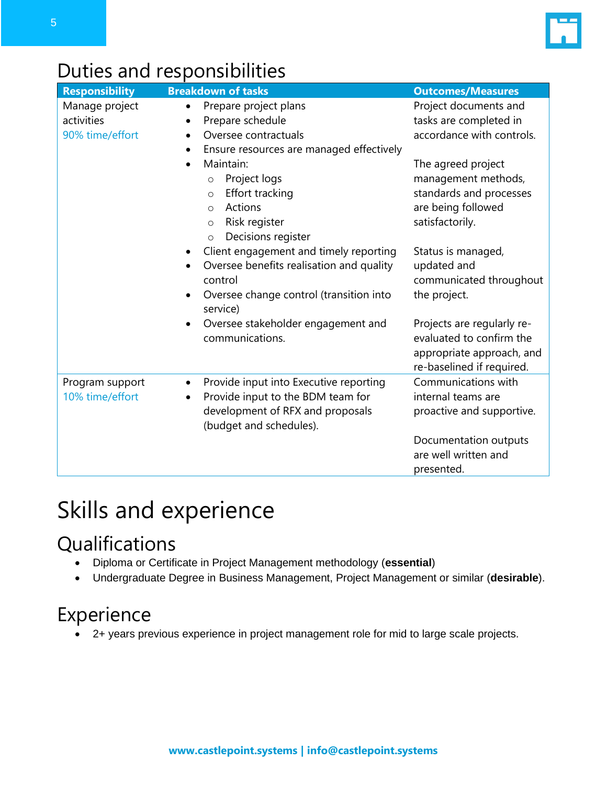

#### <span id="page-4-0"></span>Duties and responsibilities

| <b>Responsibility</b>                           | <b>Breakdown of tasks</b>                                                                                                                                                           | <b>Outcomes/Measures</b>                                                                                         |
|-------------------------------------------------|-------------------------------------------------------------------------------------------------------------------------------------------------------------------------------------|------------------------------------------------------------------------------------------------------------------|
| Manage project<br>activities<br>90% time/effort | Prepare project plans<br>$\bullet$<br>Prepare schedule<br>$\bullet$<br>Oversee contractuals<br>$\bullet$<br>Ensure resources are managed effectively<br>$\bullet$                   | Project documents and<br>tasks are completed in<br>accordance with controls.                                     |
|                                                 | Maintain:<br>$\bullet$<br>Project logs<br>$\circ$<br>Effort tracking<br>$\circ$<br>Actions<br>$\circ$<br>Risk register<br>$\circ$<br>Decisions register<br>$\circ$                  | The agreed project<br>management methods,<br>standards and processes<br>are being followed<br>satisfactorily.    |
|                                                 | Client engagement and timely reporting<br>٠<br>Oversee benefits realisation and quality<br>$\bullet$<br>control<br>Oversee change control (transition into<br>$\bullet$<br>service) | Status is managed,<br>updated and<br>communicated throughout<br>the project.                                     |
|                                                 | Oversee stakeholder engagement and<br>$\bullet$<br>communications.                                                                                                                  | Projects are regularly re-<br>evaluated to confirm the<br>appropriate approach, and<br>re-baselined if required. |
| Program support<br>10% time/effort              | Provide input into Executive reporting<br>$\bullet$<br>Provide input to the BDM team for<br>development of RFX and proposals<br>(budget and schedules).                             | Communications with<br>internal teams are<br>proactive and supportive.                                           |
|                                                 |                                                                                                                                                                                     | Documentation outputs<br>are well written and<br>presented.                                                      |

#### <span id="page-4-1"></span>Skills and experience

#### <span id="page-4-2"></span>**Qualifications**

- Diploma or Certificate in Project Management methodology (**essential**)
- Undergraduate Degree in Business Management, Project Management or similar (**desirable**).

#### <span id="page-4-3"></span>Experience

• 2+ years previous experience in project management role for mid to large scale projects.